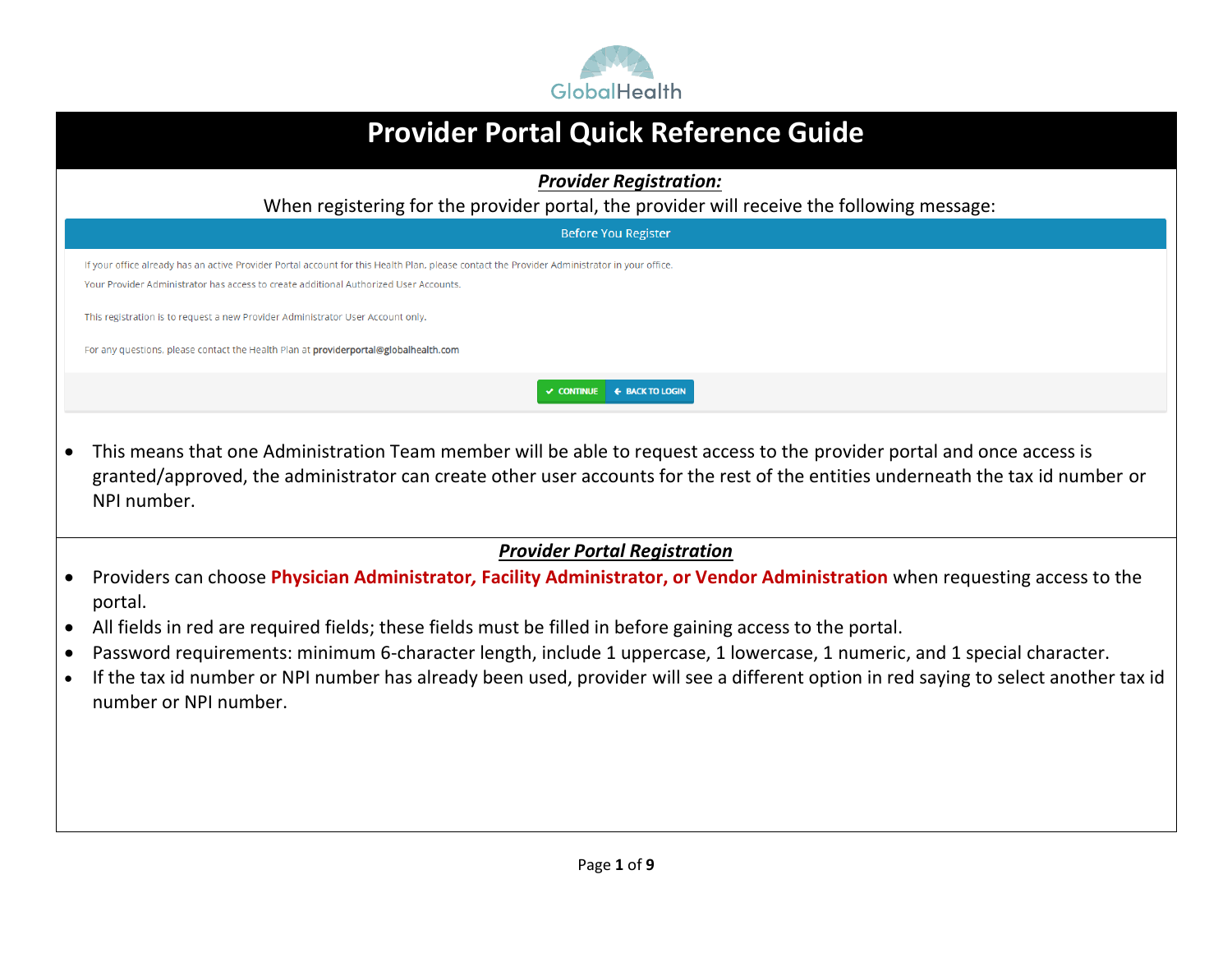

| <b>Provider Portal Quick Reference Guide</b>                                                                                                                                                                                                                                               |
|--------------------------------------------------------------------------------------------------------------------------------------------------------------------------------------------------------------------------------------------------------------------------------------------|
| <b>Provider Registration:</b>                                                                                                                                                                                                                                                              |
| When registering for the provider portal, the provider will receive the following message:                                                                                                                                                                                                 |
| <b>Before You Register</b>                                                                                                                                                                                                                                                                 |
| If your office already has an active Provider Portal account for this Health Plan, please contact the Provider Administrator in your office.<br>Your Provider Administrator has access to create additional Authorized User Accounts.                                                      |
| This registration is to request a new Provider Administrator User Account only.                                                                                                                                                                                                            |
| For any questions, please contact the Health Plan at providerportal@globalhealth.com                                                                                                                                                                                                       |
| <b>V CONTINUE + BACK TO LOGIN</b>                                                                                                                                                                                                                                                          |
| This means that one Administration Team member will be able to request access to the provider portal and once access is<br>granted/approved, the administrator can create other user accounts for the rest of the entities underneath the tax id number or<br>NPI number.                  |
| <b>Provider Portal Registration</b>                                                                                                                                                                                                                                                        |
| Providers can choose Physician Administrator, Facility Administrator, or Vendor Administration when requesting access to the<br>portal.                                                                                                                                                    |
| All fields in red are required fields; these fields must be filled in before gaining access to the portal.                                                                                                                                                                                 |
| Password requirements: minimum 6-character length, include 1 uppercase, 1 lowercase, 1 numeric, and 1 special character.<br>If the tax id number or NPI number has already been used, provider will see a different option in red saying to select another tax id<br>number or NPI number. |
|                                                                                                                                                                                                                                                                                            |
|                                                                                                                                                                                                                                                                                            |
|                                                                                                                                                                                                                                                                                            |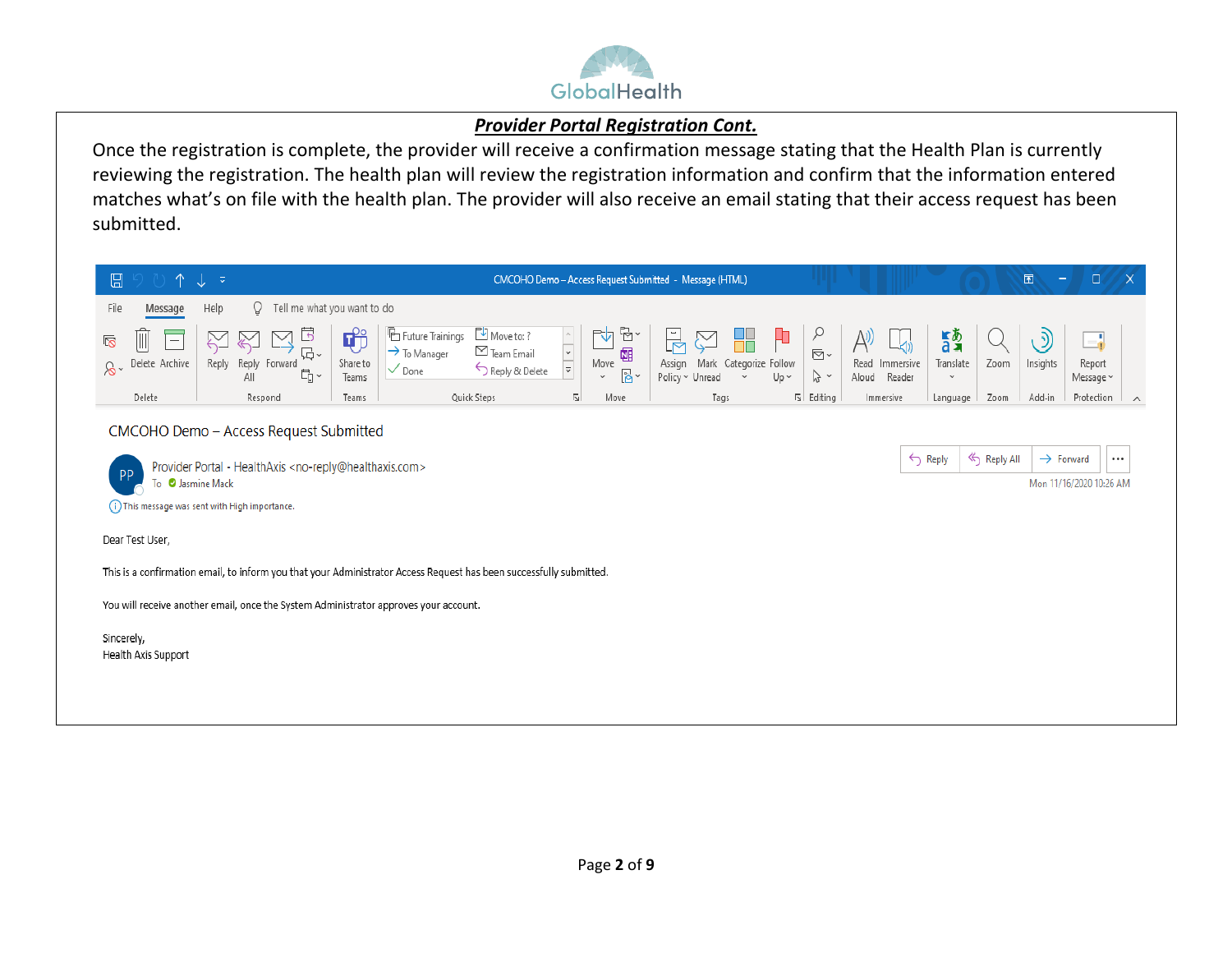

#### *Provider Portal Registration Cont.*

Once the registration is complete, the provider will receive a confirmation message stating that the Health Plan is currently reviewing the registration. The health plan will review the registration information and confirm that the information entered matches what's on file with the health plan. The provider will also receive an email stating that their access request has been submitted.

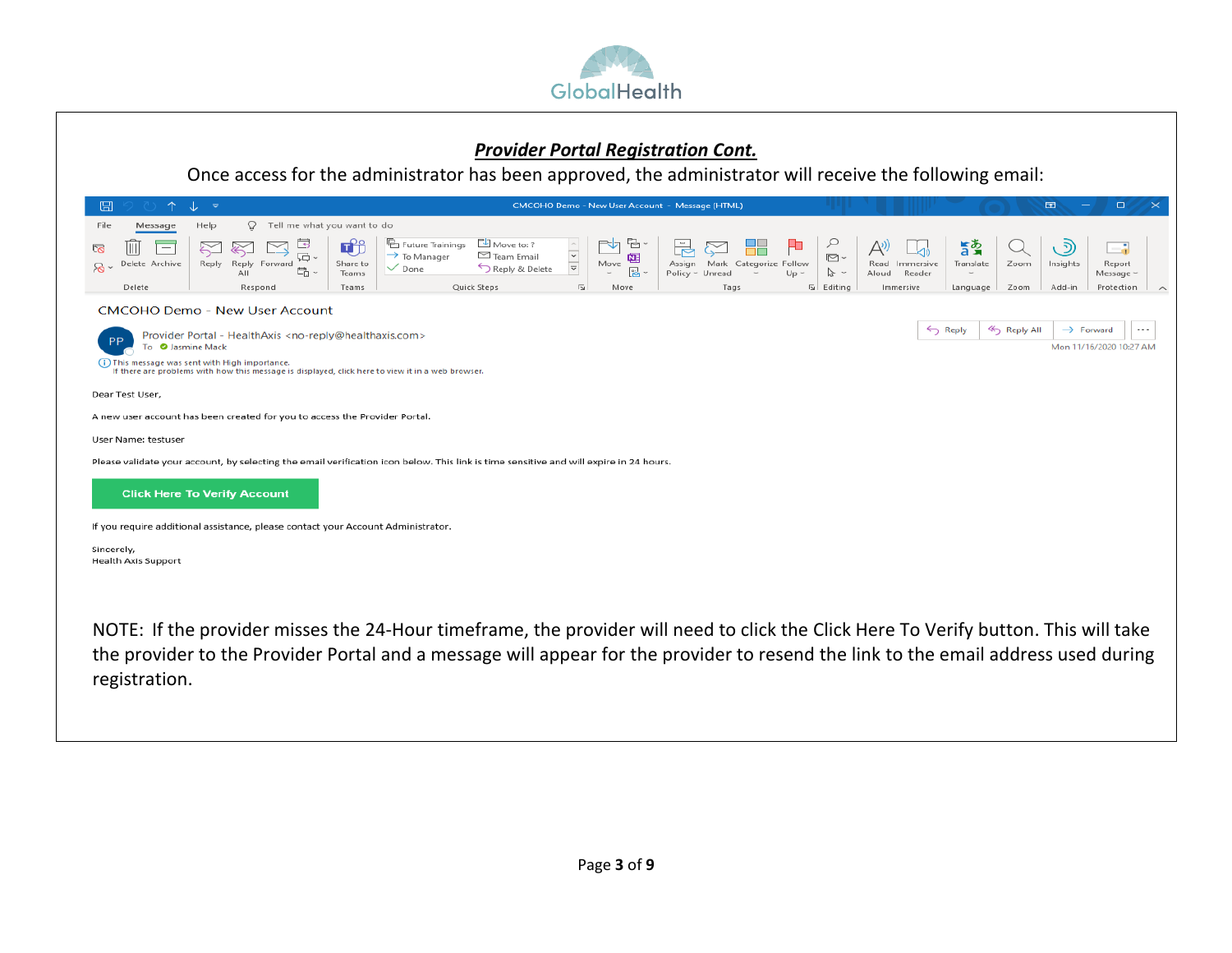

#### *Provider Portal Registration Cont.*

Once access for the administrator has been approved, the administrator will receive the following email:

| ⊞<br>↑                                                                   | st<br>್                                                                                                                                                                       |                                                                                                                                        |                                                                              |                                                       | CMCOHO Demo - New User Account - Message (HTML)          |                                                     |                                                         | $\Box$         | $\Box$<br>$\mathsf{x}$                                                         |
|--------------------------------------------------------------------------|-------------------------------------------------------------------------------------------------------------------------------------------------------------------------------|----------------------------------------------------------------------------------------------------------------------------------------|------------------------------------------------------------------------------|-------------------------------------------------------|----------------------------------------------------------|-----------------------------------------------------|---------------------------------------------------------|----------------|--------------------------------------------------------------------------------|
| File<br>Message                                                          | Ω<br>Help                                                                                                                                                                     | Tell me what you want to do                                                                                                            |                                                                              |                                                       |                                                          |                                                     |                                                         |                |                                                                                |
| Ш<br><b>To</b><br>$\overline{\phantom{m}}$<br>Delete Archive<br>$\infty$ | $\overline{\phantom{a}}$<br>$\approx$<br>N<br><b>记</b> 。<br>Reply Forward<br>Reply<br>島<br>All                                                                                | E<br><b>B</b> Future Trainings<br>$\rightarrow$ To Manager<br>Share to<br>$\vee$ Done<br>Teams                                         | Move to: ?<br>$\frac{1}{\sqrt{2}}$<br>$\boxdot$ Team Email<br>Reply & Delete | 립 ~<br>rh<br>唨<br>Move<br>$\frac{a_1}{b_1}$<br>$\sim$ | ᆗ<br>Mark Categorize Follow<br>Assign<br>Policy ~ Unread | ₽<br>H<br>$\overline{\boxdot}$ .<br>グー<br>$Up \sim$ | 昏っ<br>Translate<br>Read<br>Immersive<br>Aloud<br>Reader | Zoom           | ್ರಾ<br>$\overline{\phantom{a}}$<br>- a<br>Insights<br>Report<br>Message $\sim$ |
| Delete                                                                   | Respond                                                                                                                                                                       | Teams                                                                                                                                  | Quick Steps<br>$\overline{u}$                                                | Move                                                  | Tags                                                     | □ Editing                                           | Immersive<br>Language                                   | Zoom           | Add-in<br>Protection<br>$\curvearrowright$                                     |
| PP<br>To <b>O</b> Jasmine Mack                                           | <b>CMCOHO Demo - New User Account</b><br>Provider Portal - HealthAxis <no-reply@healthaxis.com><br/>(1) This message was sent with High importance.</no-reply@healthaxis.com> | If there are problems with how this message is displayed, click here to view it in a web browser.                                      |                                                                              |                                                       |                                                          |                                                     | Reply                                                   | <<br>Reply All | $\rightarrow$ Forward<br>$\cdots$<br>Mon 11/16/2020 10:27 AM                   |
| Dear Test User,                                                          |                                                                                                                                                                               |                                                                                                                                        |                                                                              |                                                       |                                                          |                                                     |                                                         |                |                                                                                |
|                                                                          | A new user account has been created for you to access the Provider Portal.                                                                                                    |                                                                                                                                        |                                                                              |                                                       |                                                          |                                                     |                                                         |                |                                                                                |
| User Name: testuser                                                      |                                                                                                                                                                               |                                                                                                                                        |                                                                              |                                                       |                                                          |                                                     |                                                         |                |                                                                                |
|                                                                          |                                                                                                                                                                               | Please validate your account, by selecting the email verification icon below. This link is time sensitive and will expire in 24 hours. |                                                                              |                                                       |                                                          |                                                     |                                                         |                |                                                                                |
|                                                                          | <b>Click Here To Verify Account</b>                                                                                                                                           |                                                                                                                                        |                                                                              |                                                       |                                                          |                                                     |                                                         |                |                                                                                |
|                                                                          | If you require additional assistance, please contact your Account Administrator.                                                                                              |                                                                                                                                        |                                                                              |                                                       |                                                          |                                                     |                                                         |                |                                                                                |
| Sincerely,<br><b>Health Axis Support</b>                                 |                                                                                                                                                                               |                                                                                                                                        |                                                                              |                                                       |                                                          |                                                     |                                                         |                |                                                                                |
|                                                                          |                                                                                                                                                                               |                                                                                                                                        |                                                                              |                                                       |                                                          |                                                     |                                                         |                |                                                                                |
|                                                                          |                                                                                                                                                                               | NOTE: If the provider misses the 24-Hour timeframe, the provider will need to click the Click Here To Verify button. This will take    |                                                                              |                                                       |                                                          |                                                     |                                                         |                |                                                                                |

NOTE: If the provider misses the 24-Hour timeframe, the provider will need to click the Click Here To Verify button. This will take the provider to the Provider Portal and a message will appear for the provider to resend the link to the email address used during registration.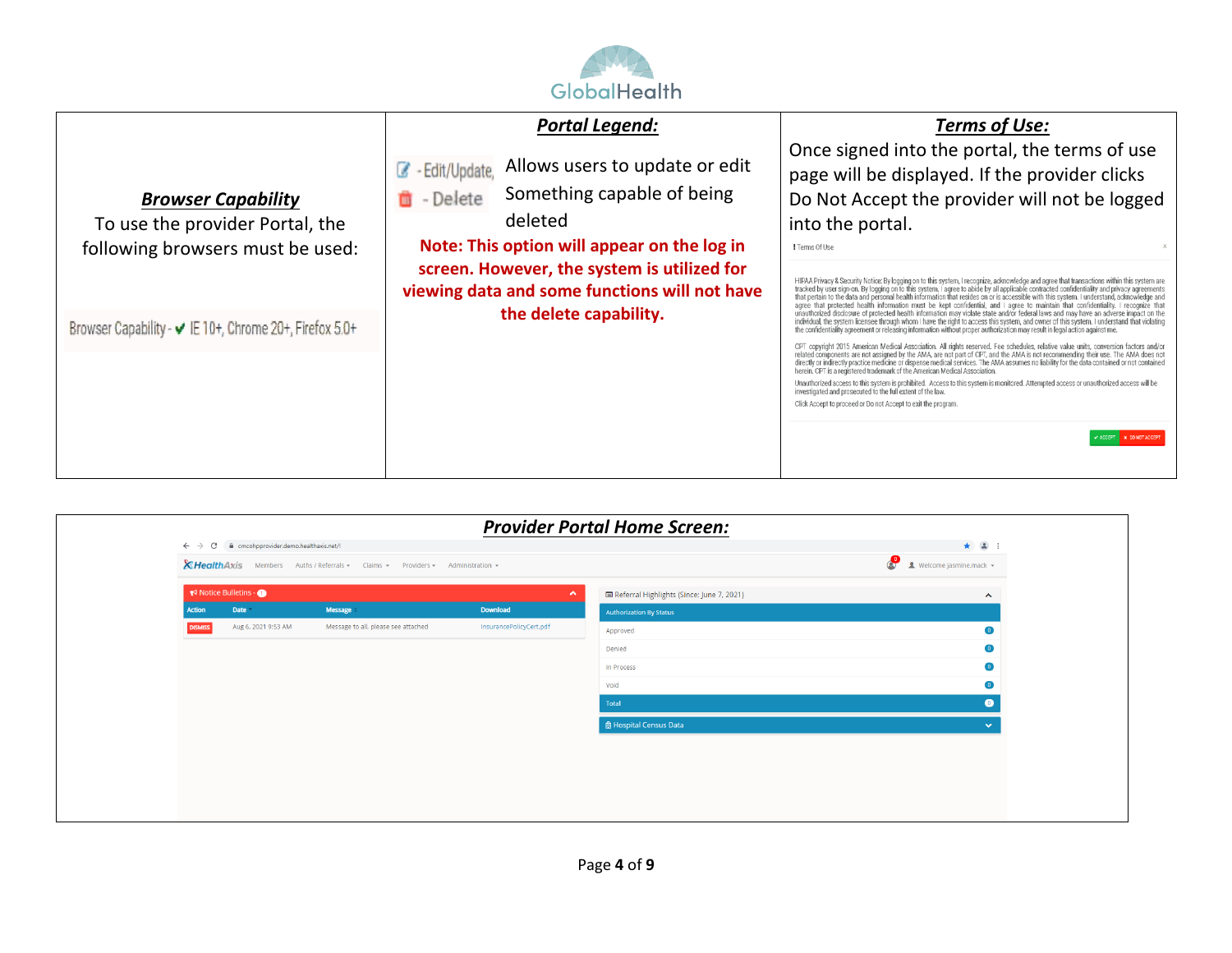

| <b>Browser Capability</b><br>To use the provider Portal, the<br>following browsers must be used: | <b>Portal Legend:</b><br>Allows users to update or edit<br>C - Edit/Update,<br>Something capable of being<br>- Delete<br>m<br>deleted<br>Note: This option will appear on the log in | <b>Terms of Use:</b><br>Once signed into the portal, the terms of use<br>page will be displayed. If the provider clicks<br>Do Not Accept the provider will not be logged<br>into the portal.<br>! Terms Of Use                                                                                                                                                                                                                                                                                                                                                                                                                                                                                                                                                                                                                                                                                                                                                                                              |
|--------------------------------------------------------------------------------------------------|--------------------------------------------------------------------------------------------------------------------------------------------------------------------------------------|-------------------------------------------------------------------------------------------------------------------------------------------------------------------------------------------------------------------------------------------------------------------------------------------------------------------------------------------------------------------------------------------------------------------------------------------------------------------------------------------------------------------------------------------------------------------------------------------------------------------------------------------------------------------------------------------------------------------------------------------------------------------------------------------------------------------------------------------------------------------------------------------------------------------------------------------------------------------------------------------------------------|
|                                                                                                  | screen. However, the system is utilized for<br>viewing data and some functions will not have<br>the delete capability.                                                               | HIPAA Privacy & Security Notice: By logging on to this system, I recognize, acknowledge and agree that transactions within this system are<br>tracked by user sign-on. By logging on to this system, I agree to abide by all appl<br>agree that protected health information must be kept confidential, and I agree to maintain that confidentiality. I recognize that unauthorized disclosure of protected health information may violate state and/or federal law                                                                                                                                                                                                                                                                                                                                                                                                                                                                                                                                         |
| Browser Capability - ✔ IE 10+, Chrome 20+, Firefox 5.0+                                          |                                                                                                                                                                                      | individual, the system licensee through whom I have the right to access this system, and owner of this system. I understand that violating<br>the confidentiality agreement or releasing information without proper authorization may result in legal action against me.<br>CPT copyright 2015 American Medical Association. All rights reserved. Fee schedules, relative value units, conversion factors and/or<br>related components are not assigned by the AMA, are not part of CPT, and the AMA is not recommending their use. The AMA does not<br>directly or indirectly practice medicine or dispense medical services. The AMA assumes no lia<br>herein. CPT is a registered trademark of the American Medical Association.<br>Unauthorized access to this system is prohibited. Access to this system is monitored. Attempted access or unauthorized access will be<br>investigated and prosecuted to the full extent of the law.<br>Click Accept to proceed or Do not Accept to exit the program. |
|                                                                                                  |                                                                                                                                                                                      | <b>X DO NOT ACCEPT</b>                                                                                                                                                                                                                                                                                                                                                                                                                                                                                                                                                                                                                                                                                                                                                                                                                                                                                                                                                                                      |

|                                                                                |                      |                                                                                      |                         | <b>Provider Portal Home Screen:</b>       |                                             |
|--------------------------------------------------------------------------------|----------------------|--------------------------------------------------------------------------------------|-------------------------|-------------------------------------------|---------------------------------------------|
| $\leftarrow$ $\rightarrow$ $\mathbb{C}$ a cmcohpprovider.demo.healthaxis.net/! |                      |                                                                                      |                         |                                           | $\star$ $\bullet$ :                         |
|                                                                                |                      | <b>XHealthAxis</b> Members Auths / Referrals v Claims v Providers v Administration v |                         |                                           | <b>O</b><br><b>1</b> Welcome jasmine.mack – |
|                                                                                | Notice Bulletins - O |                                                                                      | $\boldsymbol{\wedge}$   | Referral Highlights (Since: June 7, 2021) | $\hat{\phantom{a}}$                         |
| <b>Action</b>                                                                  | Date *               | <b>Message</b>                                                                       | <b>Download</b>         | <b>Authorization By Status</b>            |                                             |
| <b>DISMISS</b>                                                                 | Aug 6, 2021 9:53 AM  | Message to all, please see attached                                                  | InsurancePolicyCert.pdf | Approved                                  | $\bullet$                                   |
|                                                                                |                      |                                                                                      |                         | Denied                                    | $\bullet$                                   |
|                                                                                |                      |                                                                                      |                         | In Process                                | $\bullet$                                   |
|                                                                                |                      |                                                                                      |                         | Void                                      | $\bullet$                                   |
|                                                                                |                      |                                                                                      |                         | Total                                     |                                             |
|                                                                                |                      |                                                                                      |                         | <b>图 Hospital Census Data</b>             | $\checkmark$                                |
|                                                                                |                      |                                                                                      |                         |                                           |                                             |
|                                                                                |                      |                                                                                      |                         |                                           |                                             |
|                                                                                |                      |                                                                                      |                         |                                           |                                             |
|                                                                                |                      |                                                                                      |                         |                                           |                                             |
|                                                                                |                      |                                                                                      |                         |                                           |                                             |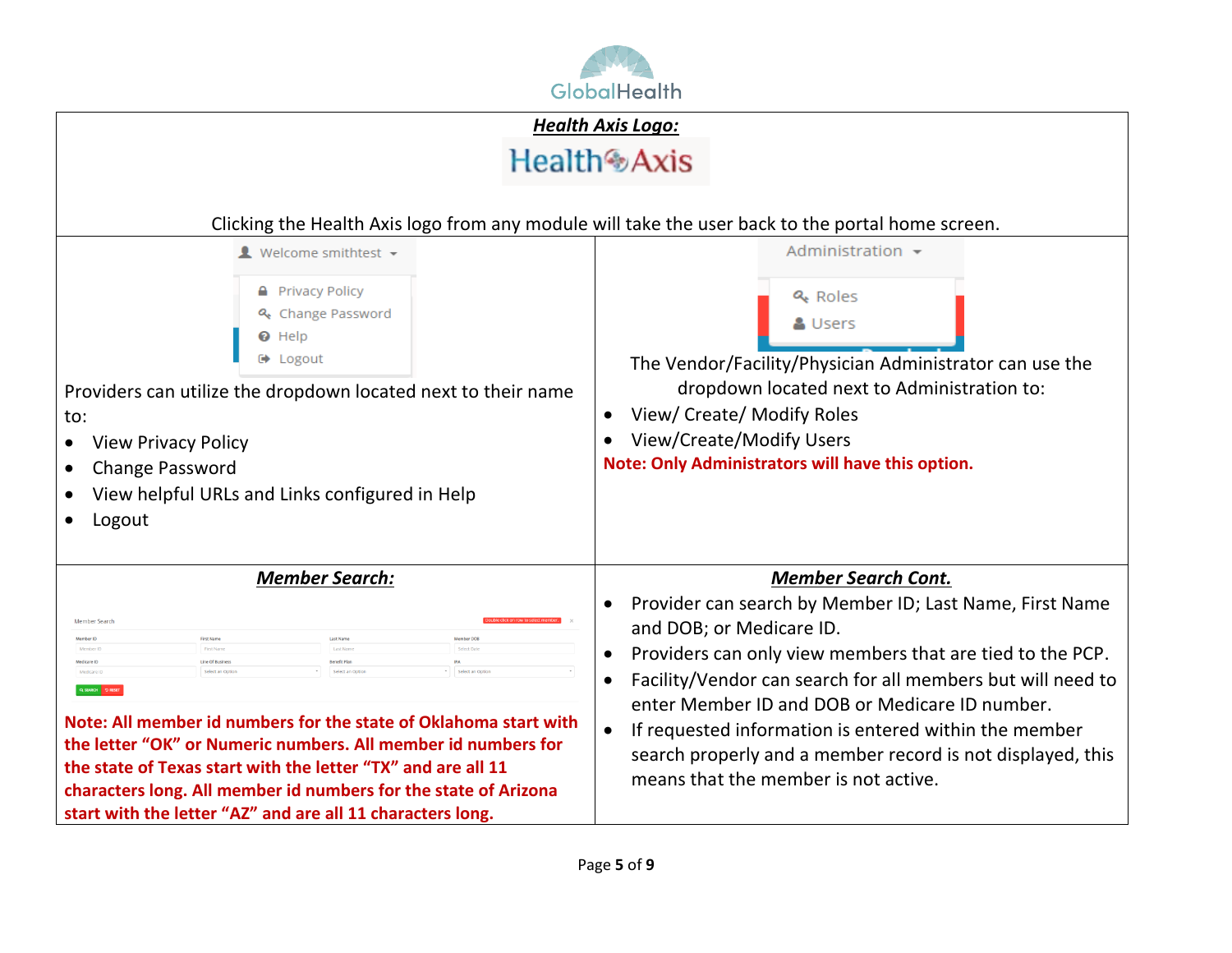

|                                                                                                                                                                                                                                                                                                                                                                                                                                                                                                                                                           | <b>Health Axis Logo:</b>                                                                                                                                                                                                                                                                                                                                                                                                                                                                                           |
|-----------------------------------------------------------------------------------------------------------------------------------------------------------------------------------------------------------------------------------------------------------------------------------------------------------------------------------------------------------------------------------------------------------------------------------------------------------------------------------------------------------------------------------------------------------|--------------------------------------------------------------------------------------------------------------------------------------------------------------------------------------------------------------------------------------------------------------------------------------------------------------------------------------------------------------------------------------------------------------------------------------------------------------------------------------------------------------------|
|                                                                                                                                                                                                                                                                                                                                                                                                                                                                                                                                                           | Health <sup>@</sup> Axis                                                                                                                                                                                                                                                                                                                                                                                                                                                                                           |
|                                                                                                                                                                                                                                                                                                                                                                                                                                                                                                                                                           | Clicking the Health Axis logo from any module will take the user back to the portal home screen.                                                                                                                                                                                                                                                                                                                                                                                                                   |
| $\blacksquare$ Welcome smithtest $\blacktriangleright$<br><b>A</b> Privacy Policy<br>& Change Password<br><b>O</b> Help<br>$\Theta$ Logout<br>Providers can utilize the dropdown located next to their name<br>to:<br><b>View Privacy Policy</b><br>$\bullet$<br><b>Change Password</b><br>View helpful URLs and Links configured in Help<br>Logout                                                                                                                                                                                                       | Administration $\sim$<br>& Roles<br>& Users<br>The Vendor/Facility/Physician Administrator can use the<br>dropdown located next to Administration to:<br>View/ Create/ Modify Roles<br>$\bullet$<br>View/Create/Modify Users<br>$\bullet$<br>Note: Only Administrators will have this option.                                                                                                                                                                                                                      |
| <b>Member Search:</b><br><b>Member Searc</b><br>First Name<br>Member DO<br>demher ID<br>Member<br>edicare ID<br>Line Of Busines<br>enefit Plan<br>Select an Optic<br>Medicare ID<br>elect an Opt<br>Q SEARCH DRESET<br>Note: All member id numbers for the state of Oklahoma start with<br>the letter "OK" or Numeric numbers. All member id numbers for<br>the state of Texas start with the letter "TX" and are all 11<br>characters long. All member id numbers for the state of Arizona<br>start with the letter "AZ" and are all 11 characters long. | <b>Member Search Cont.</b><br>Provider can search by Member ID; Last Name, First Name<br>$\bullet$<br>and DOB; or Medicare ID.<br>Providers can only view members that are tied to the PCP.<br>$\bullet$<br>Facility/Vendor can search for all members but will need to<br>$\bullet$<br>enter Member ID and DOB or Medicare ID number.<br>If requested information is entered within the member<br>$\bullet$<br>search properly and a member record is not displayed, this<br>means that the member is not active. |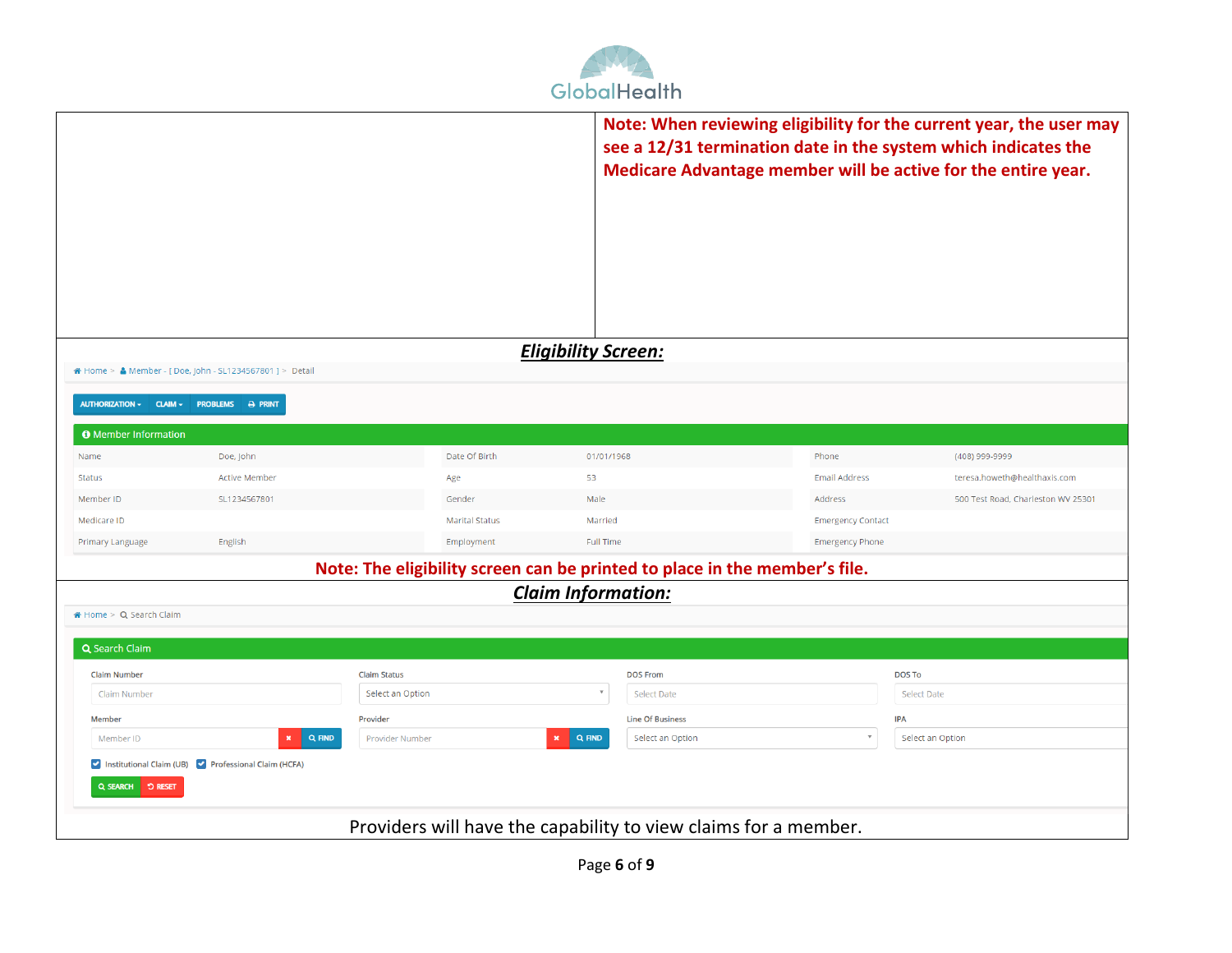

|                                        |                                                          |                        |                                                                            |                          | Note: When reviewing eligibility for the current year, the user may<br>see a 12/31 termination date in the system which indicates the<br>Medicare Advantage member will be active for the entire year. |
|----------------------------------------|----------------------------------------------------------|------------------------|----------------------------------------------------------------------------|--------------------------|--------------------------------------------------------------------------------------------------------------------------------------------------------------------------------------------------------|
|                                        |                                                          |                        | <b>Eligibility Screen:</b>                                                 |                          |                                                                                                                                                                                                        |
|                                        | A Home > & Member - [Doe, John - SL1234567801 ] > Detail |                        |                                                                            |                          |                                                                                                                                                                                                        |
| AUTHORIZATION ~<br>$CLAIM \rightarrow$ | PROBLEMS & PRINT                                         |                        |                                                                            |                          |                                                                                                                                                                                                        |
| <b>O</b> Member Information            |                                                          |                        |                                                                            |                          |                                                                                                                                                                                                        |
| Name                                   | Doe, John                                                | Date Of Birth          | 01/01/1968                                                                 | Phone                    | (408) 999-9999                                                                                                                                                                                         |
| <b>Status</b>                          | <b>Active Member</b>                                     | Age                    | 53                                                                         | <b>Email Address</b>     | teresa.howeth@healthaxis.com                                                                                                                                                                           |
| Member ID                              | SL1234567801                                             | Gender                 | Male                                                                       | Address                  | 500 Test Road, Charleston WV 25301                                                                                                                                                                     |
| Medicare ID                            |                                                          | <b>Marital Status</b>  | Married                                                                    | <b>Emergency Contact</b> |                                                                                                                                                                                                        |
| Primary Language                       | English                                                  | Employment             | <b>Full Time</b>                                                           | <b>Emergency Phone</b>   |                                                                                                                                                                                                        |
|                                        |                                                          |                        | Note: The eligibility screen can be printed to place in the member's file. |                          |                                                                                                                                                                                                        |
|                                        |                                                          |                        | <b>Claim Information:</b>                                                  |                          |                                                                                                                                                                                                        |
| Home > Q Search Claim                  |                                                          |                        |                                                                            |                          |                                                                                                                                                                                                        |
|                                        |                                                          |                        |                                                                            |                          |                                                                                                                                                                                                        |
| Q Search Claim                         |                                                          |                        |                                                                            |                          |                                                                                                                                                                                                        |
| <b>Claim Number</b>                    |                                                          | <b>Claim Status</b>    | <b>DOS From</b><br>$\overline{\mathbf v}$                                  |                          | <b>DOS To</b>                                                                                                                                                                                          |
| Claim Number                           |                                                          | Select an Option       | Select Date                                                                |                          | <b>Select Date</b>                                                                                                                                                                                     |
| Member                                 |                                                          | Provider               | <b>Line Of Business</b>                                                    | <b>IPA</b>               |                                                                                                                                                                                                        |
| Member ID                              | Q FIND                                                   | <b>Provider Number</b> | Q FIND<br>$\pmb{\times}$<br>Select an Option                               | $\overline{\mathbf{v}}$  | Select an Option                                                                                                                                                                                       |
| Q SEARCH DRESET                        | Institutional Claim (UB) Professional Claim (HCFA)       |                        |                                                                            |                          |                                                                                                                                                                                                        |
|                                        |                                                          |                        | Providers will have the capability to view claims for a member.            |                          |                                                                                                                                                                                                        |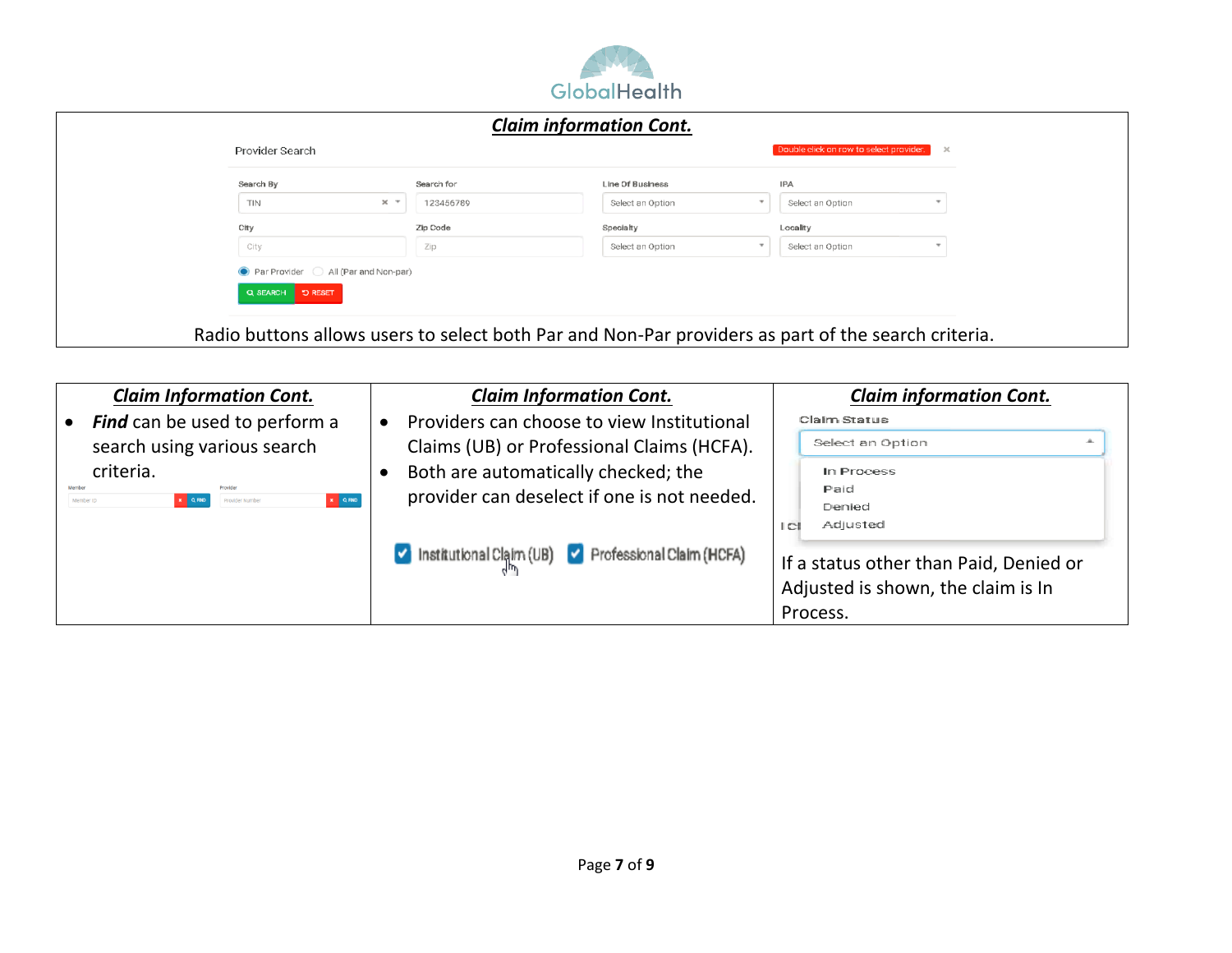

| Search By<br>Search for<br><b>Line Of Business</b><br><b>IPA</b><br>$\times$ $\times$<br>TIN<br>123456789<br>Select an Option<br>Select an Option |  |
|---------------------------------------------------------------------------------------------------------------------------------------------------|--|
|                                                                                                                                                   |  |
|                                                                                                                                                   |  |
| City<br>Zip Code<br>Locality<br>Specialty                                                                                                         |  |
| Select an Option<br>City<br>Select an Option<br>Zip                                                                                               |  |

| <b>Claim Information Cont.</b>                                                                         | <b>Claim Information Cont.</b>                     | <b>Claim information Cont.</b>                                               |
|--------------------------------------------------------------------------------------------------------|----------------------------------------------------|------------------------------------------------------------------------------|
| <b>Find</b> can be used to perform a                                                                   | Providers can choose to view Institutional         | <b>Claim Status</b>                                                          |
| search using various search                                                                            | Claims (UB) or Professional Claims (HCFA).         | Select an Option                                                             |
| criteria.                                                                                              | Both are automatically checked; the                | In Process                                                                   |
| Provider<br>Member<br>$\mathbf{x} = \mathbf{Q}$ RND<br>$x \mid Q$ FIND<br>Provider Number<br>Member ID | provider can deselect if one is not needed.        | Paid                                                                         |
|                                                                                                        |                                                    | Denied<br>Adjusted<br> C                                                     |
|                                                                                                        | Institutional Claim (UB) Professional Claim (HCFA) | If a status other than Paid, Denied or<br>Adjusted is shown, the claim is In |
|                                                                                                        |                                                    | Process.                                                                     |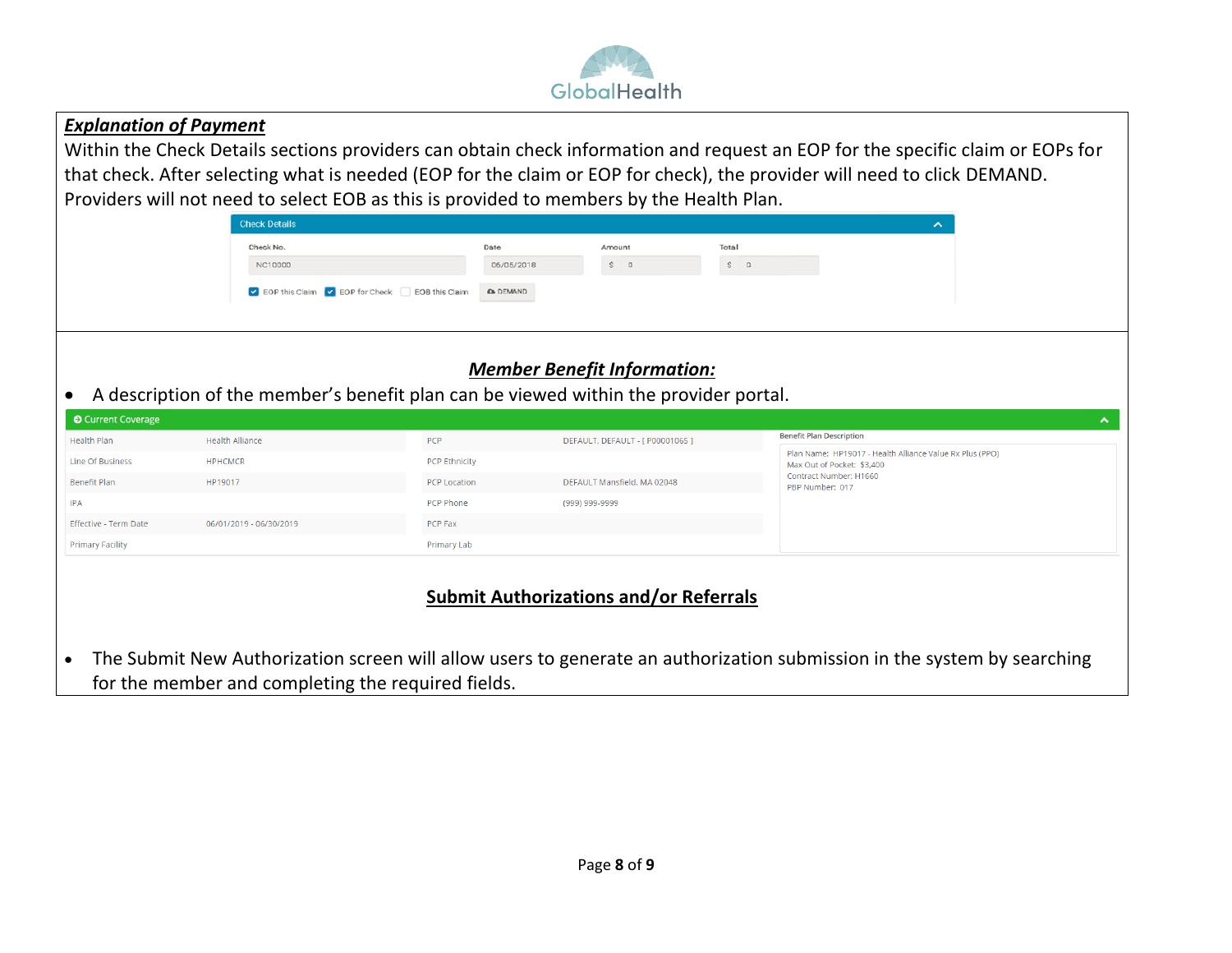

#### *Explanation of Payment*

Within the Check Details sections providers can obtain check information and request an EOP for the specific claim or EOPs for that check. After selecting what is needed (EOP for the claim or EOP for check), the provider will need to click DEMAND. Providers will not need to select EOB as this is provided to members by the Health Plan.

| <b>Check Details</b>                              |                 |            |       |          |  |
|---------------------------------------------------|-----------------|------------|-------|----------|--|
| Check No.                                         | Date            | Amount     | Total |          |  |
| NC10000                                           | 06/05/2018      | $S \cup D$ |       | $S \Box$ |  |
| ● EOP this Claim ● EOP for Check ■ EOB this Claim | <b>A</b> DEMAND |            |       |          |  |

## *Member Benefit Information:*

• A description of the member's benefit plan can be viewed within the provider portal.

| <b>O</b> Current Coverage |                         |                      |                                  | $\hat{\phantom{a}}$                                                                    |
|---------------------------|-------------------------|----------------------|----------------------------------|----------------------------------------------------------------------------------------|
| Health Plan               | <b>Health Alliance</b>  | <b>PCP</b>           | DEFAULT, DEFAULT - [ P00001065 ] | <b>Benefit Plan Description</b>                                                        |
| Line Of Business          | <b>HPHCMCR</b>          | <b>PCP Ethnicity</b> |                                  | Plan Name: HP19017 - Health Alliance Value Rx Plus (PPO)<br>Max Out of Pocket: \$3,400 |
| Benefit Plan              | HP19017                 | <b>PCP Location</b>  | DEFAULT Mansfield, MA 02048      | Contract Number: H1660<br>PBP Number: 017                                              |
| <b>IPA</b>                |                         | PCP Phone            | (999) 999-9999                   |                                                                                        |
| Effective - Term Date     | 06/01/2019 - 06/30/2019 | PCP Fax              |                                  |                                                                                        |
| <b>Primary Facility</b>   |                         | Primary Lab          |                                  |                                                                                        |

## **Submit Authorizations and/or Referrals**

• The Submit New Authorization screen will allow users to generate an authorization submission in the system by searching for the member and completing the required fields.